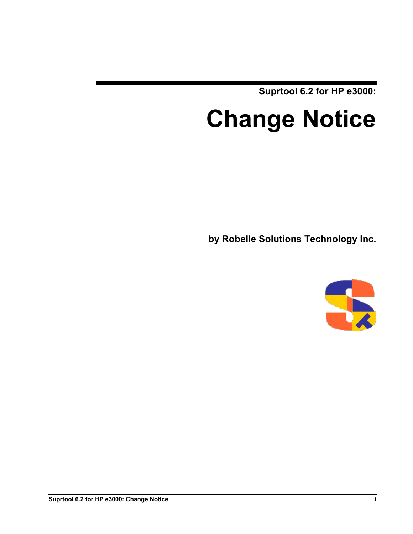**Suprtool 6.2 for HP e3000:**

# **Change Notice**

**by Robelle Solutions Technology Inc.**

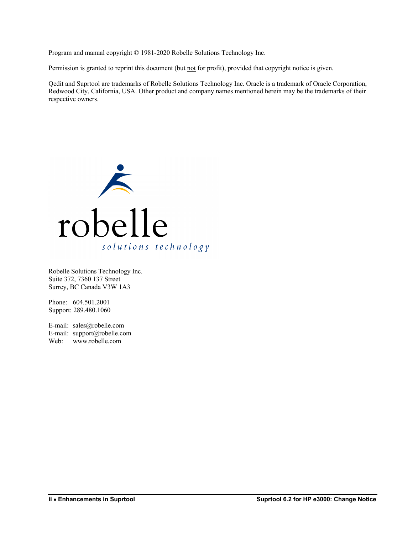Program and manual copyright © 1981-2020 Robelle Solutions Technology Inc.

Permission is granted to reprint this document (but not for profit), provided that copyright notice is given.

Qedit and Suprtool are trademarks of Robelle Solutions Technology Inc. Oracle is a trademark of Oracle Corporation, Redwood City, California, USA. Other product and company names mentioned herein may be the trademarks of their respective owners.



Robelle Solutions Technology Inc. Suite 372, 7360 137 Street Surrey, BC Canada V3W 1A3

Phone: 604.501.2001 Support: 289.480.1060

E-mail: sales@robelle.com E-mail: support@robelle.com Web: www.robelle.com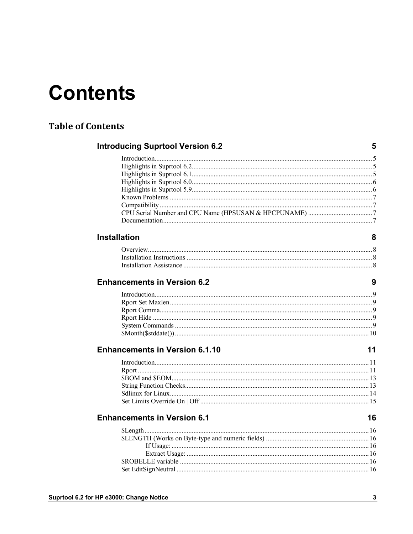# **Contents**

#### **Table of Contents**

#### **Introducing Suprtool Version 6.2**

#### **Installation**

#### **Enhancements in Version 6.2**

#### **Enhancements in Version 6.1.10**

#### **Enhancements in Version 6.1**

 $5\overline{)}$ 

8

 $\overline{9}$ 

 $11$ 

16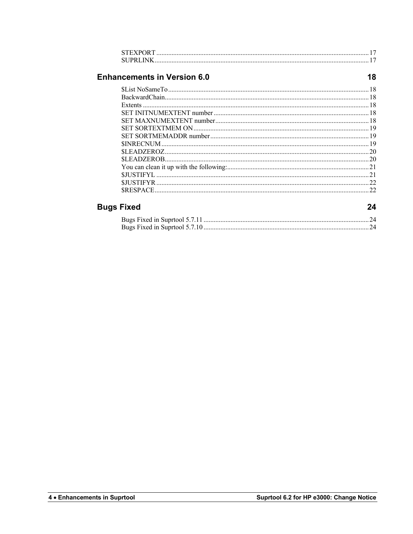| <b>STEXPORT</b> |  |
|-----------------|--|
| SUPRI INK       |  |

#### **Enhancements in Version 6.0**

| <b>icements in Version 6.0</b> |    |
|--------------------------------|----|
|                                |    |
|                                |    |
|                                |    |
|                                |    |
|                                |    |
|                                |    |
|                                |    |
|                                |    |
|                                |    |
|                                |    |
|                                |    |
|                                |    |
|                                |    |
|                                | つつ |
|                                |    |

#### **Bugs Fixed**

24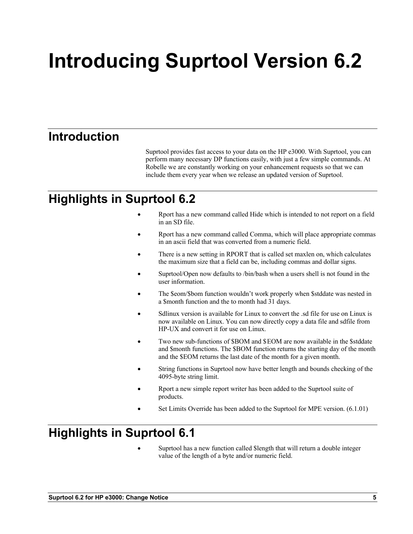# **Introducing Suprtool Version 6.2**

## **Introduction**

Suprtool provides fast access to your data on the HP e3000. With Suprtool, you can perform many necessary DP functions easily, with just a few simple commands. At Robelle we are constantly working on your enhancement requests so that we can include them every year when we release an updated version of Suprtool.

# **Highlights in Suprtool 6.2**

- Rport has a new command called Hide which is intended to not report on a field in an SD file.
- Rport has a new command called Comma, which will place appropriate commas in an ascii field that was converted from a numeric field.
- There is a new setting in RPORT that is called set maxlen on, which calculates the maximum size that a field can be, including commas and dollar signs.
- Suprtool/Open now defaults to /bin/bash when a users shell is not found in the user information.
- The \$eom/\$bom function wouldn't work properly when \$stddate was nested in a \$month function and the to month had 31 days.
- Sdlinux version is available for Linux to convert the .sd file for use on Linux is now available on Linux. You can now directly copy a data file and sdfile from HP-UX and convert it for use on Linux.
- Two new sub-functions of \$BOM and \$EOM are now available in the \$stddate and \$month functions. The \$BOM function returns the starting day of the month and the \$EOM returns the last date of the month for a given month.
- String functions in Suprtool now have better length and bounds checking of the 4095-byte string limit.
- Rport a new simple report writer has been added to the Suprtool suite of products.
- Set Limits Override has been added to the Suprtool for MPE version. (6.1.01)

# **Highlights in Suprtool 6.1**

• Suprtool has a new function called \$length that will return a double integer value of the length of a byte and/or numeric field.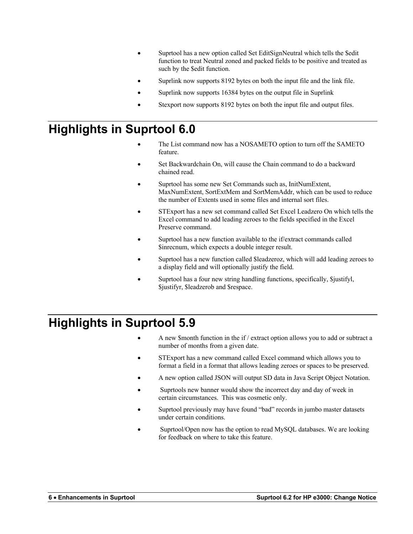- Suprtool has a new option called Set EditSignNeutral which tells the \$edit function to treat Neutral zoned and packed fields to be positive and treated as such by the \$edit function.
- Suprlink now supports 8192 bytes on both the input file and the link file.
- Suprlink now supports 16384 bytes on the output file in Suprlink
- Stexport now supports 8192 bytes on both the input file and output files.

# **Highlights in Suprtool 6.0**

- The List command now has a NOSAMETO option to turn off the SAMETO feature.
- Set Backwardchain On, will cause the Chain command to do a backward chained read.
- Suprtool has some new Set Commands such as, InitNumExtent, MaxNumExtent, SortExtMem and SortMemAddr, which can be used to reduce the number of Extents used in some files and internal sort files.
- STExport has a new set command called Set Excel Leadzero On which tells the Excel command to add leading zeroes to the fields specified in the Excel Preserve command.
- Suprtool has a new function available to the if/extract commands called \$inrecnum, which expects a double integer result.
- Suprtool has a new function called \$leadzeroz, which will add leading zeroes to a display field and will optionally justify the field.
- Suprtool has a four new string handling functions, specifically, \$justifyl, \$justifyr, \$leadzerob and \$respace.

# **Highlights in Suprtool 5.9**

- A new \$month function in the if / extract option allows you to add or subtract a number of months from a given date.
- STExport has a new command called Excel command which allows you to format a field in a format that allows leading zeroes or spaces to be preserved.
- A new option called JSON will output SD data in Java Script Object Notation.
- Suprtools new banner would show the incorrect day and day of week in certain circumstances. This was cosmetic only.
- Suprtool previously may have found "bad" records in jumbo master datasets under certain conditions.
- Suprtool/Open now has the option to read MySQL databases. We are looking for feedback on where to take this feature.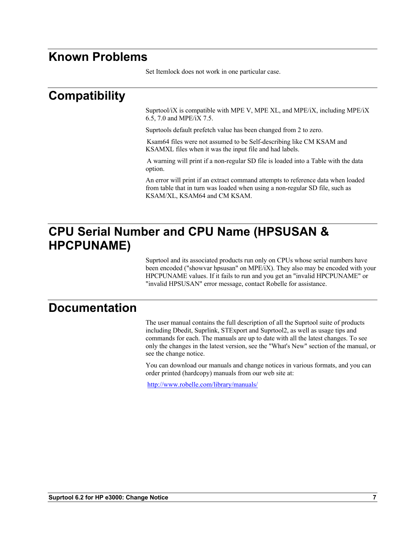### **Known Problems**

Set Itemlock does not work in one particular case.

## **Compatibility**

Suprtool/iX is compatible with MPE V, MPE XL, and MPE/iX, including MPE/iX 6.5, 7.0 and MPE/iX 7.5.

Suprtools default prefetch value has been changed from 2 to zero.

Ksam64 files were not assumed to be Self-describing like CM KSAM and KSAMXL files when it was the input file and had labels.

A warning will print if a non-regular SD file is loaded into a Table with the data option.

An error will print if an extract command attempts to reference data when loaded from table that in turn was loaded when using a non-regular SD file, such as KSAM/XL, KSAM64 and CM KSAM.

## **CPU Serial Number and CPU Name (HPSUSAN & HPCPUNAME)**

Suprtool and its associated products run only on CPUs whose serial numbers have been encoded ("showvar hpsusan" on MPE/iX). They also may be encoded with your HPCPUNAME values. If it fails to run and you get an "invalid HPCPUNAME" or "invalid HPSUSAN" error message, contact Robelle for assistance.

#### **Documentation**

The user manual contains the full description of all the Suprtool suite of products including Dbedit, Suprlink, STExport and Suprtool2, as well as usage tips and commands for each. The manuals are up to date with all the latest changes. To see only the changes in the latest version, see the "What's New" section of the manual, or see the change notice.

You can download our manuals and change notices in various formats, and you can order printed (hardcopy) manuals from our web site at:

http://www.robelle.com/library/manuals/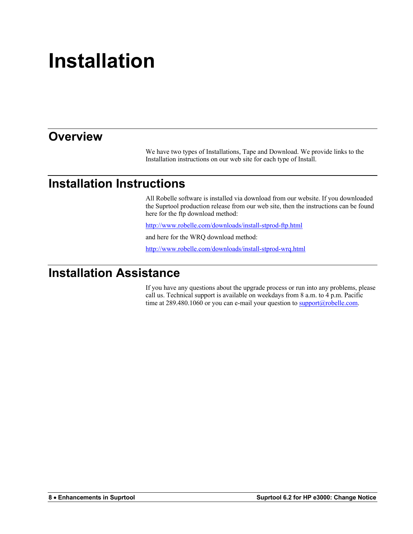# **Installation**

## **Overview**

We have two types of Installations, Tape and Download. We provide links to the Installation instructions on our web site for each type of Install.

### **Installation Instructions**

All Robelle software is installed via download from our website. If you downloaded the Suprtool production release from our web site, then the instructions can be found here for the ftp download method:

http://www.robelle.com/downloads/install-stprod-ftp.html

and here for the WRQ download method:

http://www.robelle.com/downloads/install-stprod-wrq.html

#### **Installation Assistance**

If you have any questions about the upgrade process or run into any problems, please call us. Technical support is available on weekdays from 8 a.m. to 4 p.m. Pacific time at  $289.480.1060$  or you can e-mail your question to  $\frac{\text{support}(a) \text{rolelle.com}}{\text{output}(a)}$ .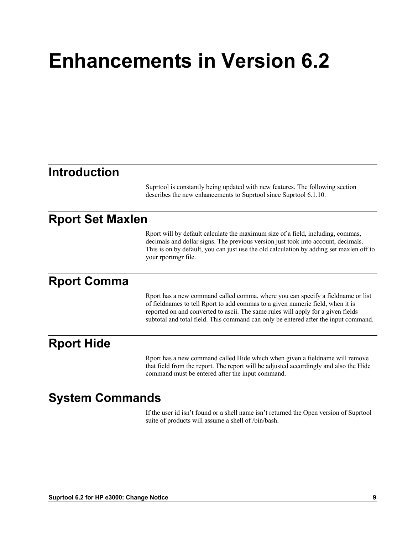# **Enhancements in Version 6.2**

#### **Introduction**

Suprtool is constantly being updated with new features. The following section describes the new enhancements to Suprtool since Suprtool 6.1.10.

#### **Rport Set Maxlen**

Rport will by default calculate the maximum size of a field, including, commas, decimals and dollar signs. The previous version just took into account, decimals. This is on by default, you can just use the old calculation by adding set maxlen off to your rportmgr file.

#### **Rport Comma**

Rport has a new command called comma, where you can specify a fieldname or list of fieldnames to tell Rport to add commas to a given numeric field, when it is reported on and converted to ascii. The same rules will apply for a given fields subtotal and total field. This command can only be entered after the input command.

#### **Rport Hide**

Rport has a new command called Hide which when given a fieldname will remove that field from the report. The report will be adjusted accordingly and also the Hide command must be entered after the input command.

### **System Commands**

If the user id isn't found or a shell name isn't returned the Open version of Suprtool suite of products will assume a shell of /bin/bash.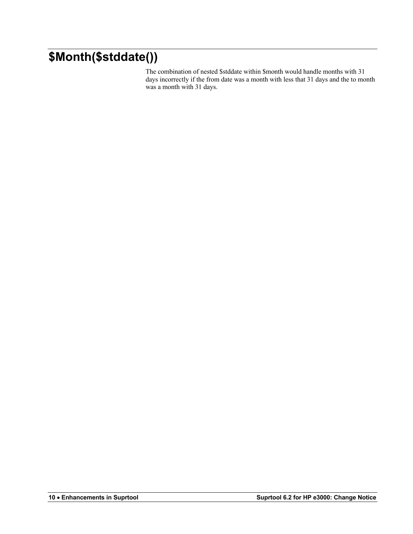# **\$Month(\$stddate())**

The combination of nested \$stddate within \$month would handle months with 31 days incorrectly if the from date was a month with less that 31 days and the to month was a month with 31 days.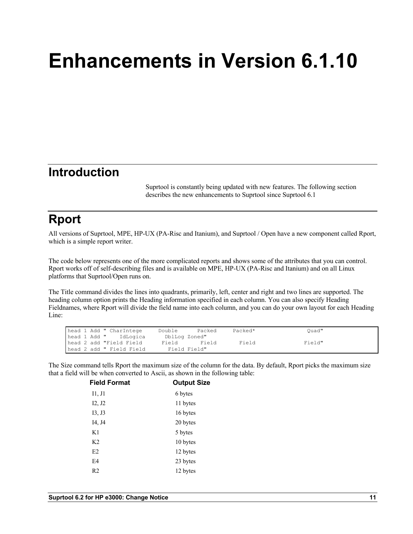# **Enhancements in Version 6.1.10**

### **Introduction**

Suprtool is constantly being updated with new features. The following section describes the new enhancements to Suprtool since Suprtool 6.1

# **Rport**

All versions of Suprtool, MPE, HP-UX (PA-Risc and Itanium), and Suprtool / Open have a new component called Rport, which is a simple report writer.

The code below represents one of the more complicated reports and shows some of the attributes that you can control. Rport works off of self-describing files and is available on MPE, HP-UX (PA-Risc and Itanium) and on all Linux platforms that Suprtool/Open runs on.

The Title command divides the lines into quadrants, primarily, left, center and right and two lines are supported. The heading column option prints the Heading information specified in each column. You can also specify Heading Fieldnames, where Rport will divide the field name into each column, and you can do your own layout for each Heading Line:

| head 1 Add " CharIntege  | Double        | Packed | Packed* | Ouad"  |
|--------------------------|---------------|--------|---------|--------|
| head 1 Add " IdLogica    | DblLog Zoned" |        |         |        |
| head 2 add "Field Field  | Field         | Field  | Field   | Field" |
| head 2 add " Field Field | Field Field"  |        |         |        |

The Size command tells Rport the maximum size of the column for the data. By default, Rport picks the maximum size that a field will be when converted to Ascii, as shown in the following table:

| <b>Field Format</b> | <b>Output Size</b> |
|---------------------|--------------------|
| I1, J1              | 6 bytes            |
| I2, J2              | 11 bytes           |
| I3, J3              | 16 bytes           |
| I4, J4              | 20 bytes           |
| K1                  | 5 bytes            |
| K <sub>2</sub>      | 10 bytes           |
| E2                  | 12 bytes           |
| E4                  | 23 bytes           |
| R2                  | 12 bytes           |
|                     |                    |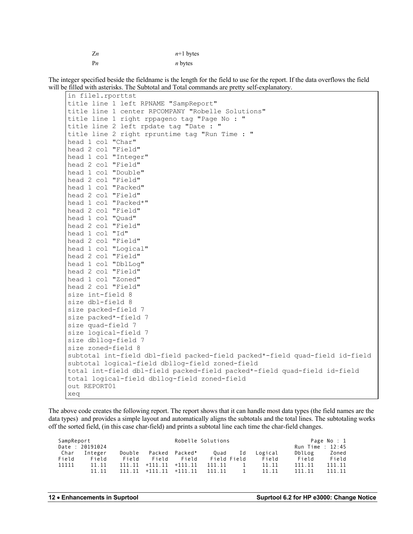| Z <sub>n</sub> | $n+1$ bytes |
|----------------|-------------|
| P <sub>n</sub> | $n$ bytes   |

The integer specified beside the fieldname is the length for the field to use for the report. If the data overflows the field will be filled with asterisks. The Subtotal and Total commands are pretty self-explanatory.

| in file1.rporttst                                                           |
|-----------------------------------------------------------------------------|
| title line 1 left RPNAME "SampReport"                                       |
| title line 1 center RPCOMPANY "Robelle Solutions"                           |
| title line 1 right rppageno tag "Page No : "                                |
| title line 2 left rpdate tag "Date : "                                      |
| title line 2 right rpruntime tag "Run Time : "                              |
| head 1 col "Char"                                                           |
| head 2 col "Field"                                                          |
| head 1 col "Integer"                                                        |
| head 2 col "Field"                                                          |
| head 1 col "Double"                                                         |
| head 2 col "Field"                                                          |
| head 1 col "Packed"                                                         |
| head 2 col "Field"                                                          |
| head 1 col "Packed*"                                                        |
| head 2 col "Field"                                                          |
| head 1 col "Quad"                                                           |
| head 2 col "Field"                                                          |
| head 1 col "Id"                                                             |
| head 2 col "Field"                                                          |
| head 1 col "Logical"                                                        |
| head 2 col "Field"                                                          |
| head 1 col "DblLog"                                                         |
| head 2 col "Field"                                                          |
| head 1 col "Zoned"                                                          |
| head 2 col "Field"                                                          |
| size int-field 8                                                            |
| size dbl-field 8                                                            |
| size packed-field 7                                                         |
| size packed*-field 7                                                        |
| size quad-field 7                                                           |
| size logical-field 7                                                        |
| size dbllog-field 7                                                         |
| size zoned-field 8                                                          |
| subtotal int-field dbl-field packed-field packed*-field quad-field id-field |
| subtotal logical-field dbllog-field zoned-field                             |
| total int-field dbl-field packed-field packed*-field quad-field id-field    |
| total logical-field dbllog-field zoned-field                                |
| out REPORT01                                                                |
| xeq                                                                         |

The above code creates the following report. The report shows that it can handle most data types (the field names are the data types) and provides a simple layout and automatically aligns the subtotals and the total lines. The subtotaling works off the sorted field, (in this case char-field) and prints a subtotal line each time the char-field changes.

| SampReport |                 | Robelle Solutions |                            |                | Page No : 1 |             |         |                  |        |
|------------|-----------------|-------------------|----------------------------|----------------|-------------|-------------|---------|------------------|--------|
|            | Date : 20191024 |                   |                            |                |             |             |         | Run Time : 12:45 |        |
| Char       | Integer         | Double            |                            | Packed Packed* | Ouad        | Id          | Logical | DblLog           | Zoned  |
| Field      | Field           | Field             | Field                      | Field          |             | Field Field | Field   | Field            | Field  |
| 11111      | 11.11           |                   | $111.11 + 111.11 + 111.11$ |                | 111.11      |             | 11.11   | 111.11           | 111.11 |
|            | 11.11           | 111.11            | $+111.11 +111.11$          |                | 111.11      |             | 11.11   | 111.11           | 111.11 |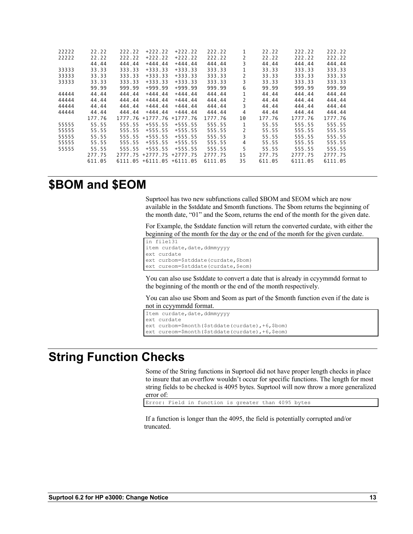| 22222 | 22.22  | 222.22  | $+222.22$           | $+222.22$  | 222.22  |    | 22.22  | 222.22  | 222.22  |
|-------|--------|---------|---------------------|------------|---------|----|--------|---------|---------|
| 22222 | 22.22  | 222.22  | $+222.22$           | $+222.22$  | 222.22  |    | 22.22  | 222.22  | 222.22  |
|       | 44.44  | 444.44  | $+444.44$           | $+444.44$  | 444.44  |    | 44.44  | 444.44  | 444.44  |
| 33333 | 33.33  | 333.33  | $+333.33$           | $+333.33$  | 333.33  |    | 33.33  | 333.33  | 333.33  |
| 33333 | 33.33  | 333.33  | $+333.33$           | $+333.33$  | 333.33  |    | 33.33  | 333.33  | 333.33  |
| 33333 | 33.33  | 333.33  | $+333.33$           | $+333.33$  | 333.33  | 3  | 33.33  | 333.33  | 333.33  |
|       | 99.99  | 999.99  | $+999.99$           | $+999.99$  | 999.99  | 6  | 99.99  | 999.99  | 999.99  |
| 44444 | 44.44  | 444.44  | $+444.44$           | $+444.44$  | 444.44  |    | 44.44  | 444.44  | 444.44  |
| 44444 | 44.44  | 444.44  | $+444.44$           | $+444.44$  | 444.44  | 2  | 44.44  | 444.44  | 444.44  |
| 44444 | 44.44  | 444.44  | $+444.44$           | $+444.44$  | 444.44  | 3  | 44.44  | 444.44  | 444.44  |
| 44444 | 44.44  | 444.44  | $+444.44$           | $+444.44$  | 444.44  | 4  | 44.44  | 444.44  | 444.44  |
|       | 177.76 | 1777.76 | $+1777.76$          | $+1777.76$ | 1777.76 | 10 | 177.76 | 1777.76 | 1777.76 |
| 55555 | 55.55  | 555.55  | $+555.55$           | $+555.55$  | 555.55  |    | 55.55  | 555.55  | 555.55  |
| 55555 | 55.55  | 555.55  | $+555.55$           | $+555.55$  | 555.55  |    | 55.55  | 555.55  | 555.55  |
| 55555 | 55.55  | 555.55  | $+555.55$           | $+555.55$  | 555.55  | 3  | 55.55  | 555.55  | 555.55  |
| 55555 | 55.55  | 555.55  | $+555.55$           | $+555.55$  | 555.55  | 4  | 55.55  | 555.55  | 555.55  |
| 55555 | 55.55  | 555.55  | $+555.55$           | $+555.55$  | 555.55  | 5  | 55.55  | 555.55  | 555.55  |
|       | 277.75 | 2777.75 | $+2777.75$ +2777.75 |            | 2777.75 | 15 | 277.75 | 2777.75 | 2777.75 |
|       | 611.05 | 6111.05 | $+6111.05 +6111.05$ |            | 6111.05 | 35 | 611.05 | 6111.05 | 6111.05 |
|       |        |         |                     |            |         |    |        |         |         |

#### **\$BOM and \$EOM**

Suprtool has two new subfunctions called \$BOM and \$EOM which are now available in the \$stddate and \$month functions. The \$bom returns the beginning of the month date, "01" and the \$eom, returns the end of the month for the given date.

For Example, the \$stddate function will return the converted curdate, with either the beginning of the month for the day or the end of the month for the given curdate.

```
in file131
item curdate, date, ddmmyyyy
ext curdate
ext curbom=$stddate(curdate,$bom)
ext cureom=$stddate(curdate,$eom)
```
You can also use \$stddate to convert a date that is already in ccyymmdd format to the beginning of the month or the end of the month respectively.

You can also use \$bom and \$eom as part of the \$month function even if the date is not in ccyymmdd format.

```
Item curdate, date, ddmmyyyy
ext curdate
ext curbom=$month($stddate(curdate),+6,$bom)
ext cureom=$month($stddate(curdate),+6,$eom)
```
### **String Function Checks**

Some of the String functions in Suprtool did not have proper length checks in place to insure that an overflow wouldn't occur for specific functions. The length for most string fields to be checked is 4095 bytes. Suprtool will now throw a more generalized error of:

Error: Field in function is greater than 4095 bytes

If a function is longer than the 4095, the field is potentially corrupted and/or truncated.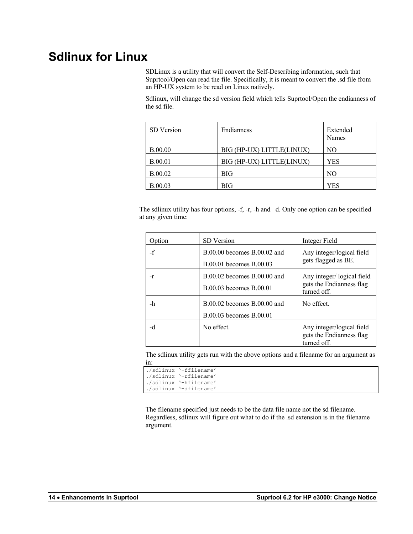# **Sdlinux for Linux**

SDLinux is a utility that will convert the Self-Describing information, such that Suprtool/Open can read the file. Specifically, it is meant to convert the .sd file from an HP-UX system to be read on Linux natively.

Sdlinux, will change the sd version field which tells Suprtool/Open the endianness of the sd file.

| SD Version     | <b>Endianness</b>         | Extended<br>Names |
|----------------|---------------------------|-------------------|
| <b>B.00.00</b> | BIG (HP-UX) LITTLE(LINUX) | NO                |
| <b>B.00.01</b> | BIG (HP-UX) LITTLE(LINUX) | YES               |
| <b>B.00.02</b> | <b>BIG</b>                | N <sub>O</sub>    |
| <b>B.00.03</b> | BIG                       | YES               |

The sdlinux utility has four options, -f, -r, -h and –d. Only one option can be specified at any given time:

| Option | <b>SD</b> Version                                          | Integer Field                                                        |
|--------|------------------------------------------------------------|----------------------------------------------------------------------|
| $-f$   | $B.00.00$ becomes $B.00.02$ and<br>B.00.01 becomes B.00.03 | Any integer/logical field<br>gets flagged as BE.                     |
| -r     | $B.00.02$ becomes $B.00.00$ and<br>B.00.03 becomes B.00.01 | Any integer/logical field<br>gets the Endianness flag<br>turned off. |
| -h     | $B.00.02$ becomes $B.00.00$ and<br>B.00.03 becomes B.00.01 | No effect.                                                           |
| -d     | No effect.                                                 | Any integer/logical field<br>gets the Endianness flag<br>turned off. |

The sdlinux utility gets run with the above options and a filename for an argument as in:

|  | ./sdlinux '-ffilename' |
|--|------------------------|
|  | ./sdlinux '-rfilename' |
|  | ./sdlinux '-hfilename' |
|  | ./sdlinux '-dfilename' |

The filename specified just needs to be the data file name not the sd filename. Regardless, sdlinux will figure out what to do if the .sd extension is in the filename argument.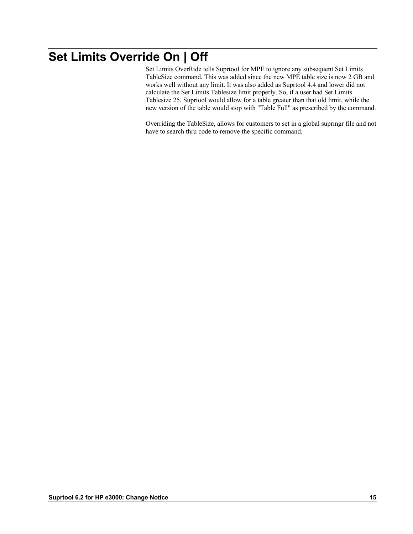# **Set Limits Override On | Off**

Set Limits OverRide tells Suprtool for MPE to ignore any subsequent Set Limits TableSize command. This was added since the new MPE table size is now 2 GB and works well without any limit. It was also added as Suprtool 4.4 and lower did not calculate the Set Limits Tablesize limit properly. So, if a user had Set Limits Tablesize 25, Suprtool would allow for a table greater than that old limit, while the new version of the table would stop with "Table Full" as prescribed by the command.

Overriding the TableSize, allows for customers to set in a global suprmgr file and not have to search thru code to remove the specific command.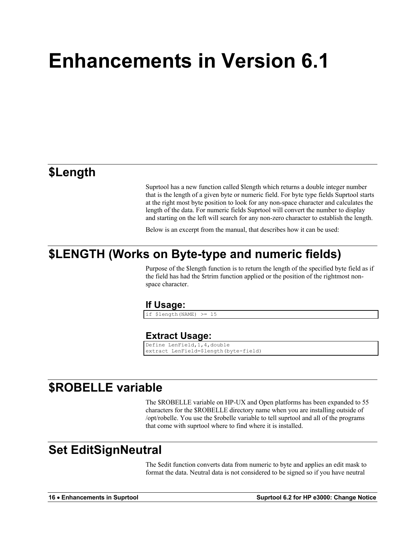# **Enhancements in Version 6.1**

#### **\$Length**

Suprtool has a new function called \$length which returns a double integer number that is the length of a given byte or numeric field. For byte type fields Suprtool starts at the right most byte position to look for any non-space character and calculates the length of the data. For numeric fields Suprtool will convert the number to display and starting on the left will search for any non-zero character to establish the length.

Below is an excerpt from the manual, that describes how it can be used:

### **\$LENGTH (Works on Byte-type and numeric fields)**

Purpose of the \$length function is to return the length of the specified byte field as if the field has had the \$rtrim function applied or the position of the rightmost nonspace character.

#### **If Usage:**

if \$length(NAME) >= 15

#### **Extract Usage:**

```
Define LenField,1,4,double
extract LenField=$length(byte-field)
```
### **\$ROBELLE variable**

The \$ROBELLE variable on HP-UX and Open platforms has been expanded to 55 characters for the \$ROBELLE directory name when you are installing outside of /opt/robelle. You use the \$robelle variable to tell suprtool and all of the programs that come with suprtool where to find where it is installed.

#### **Set EditSignNeutral**

The \$edit function converts data from numeric to byte and applies an edit mask to format the data. Neutral data is not considered to be signed so if you have neutral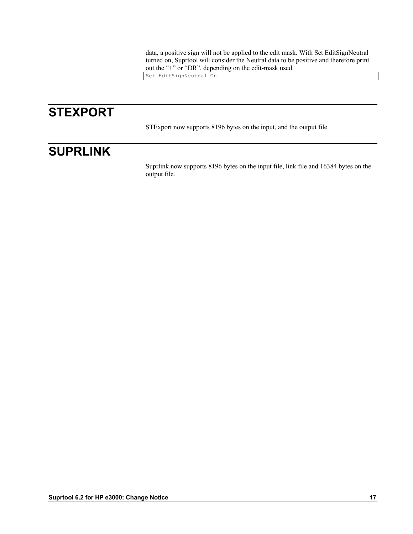data, a positive sign will not be applied to the edit mask. With Set EditSignNeutral turned on, Suprtool will consider the Neutral data to be positive and therefore print out the "+" or "DR", depending on the edit-mask used.

Set EditSignNeutral On

# **STEXPORT**

STExport now supports 8196 bytes on the input, and the output file.

# **SUPRLINK**

Suprlink now supports 8196 bytes on the input file, link file and 16384 bytes on the output file.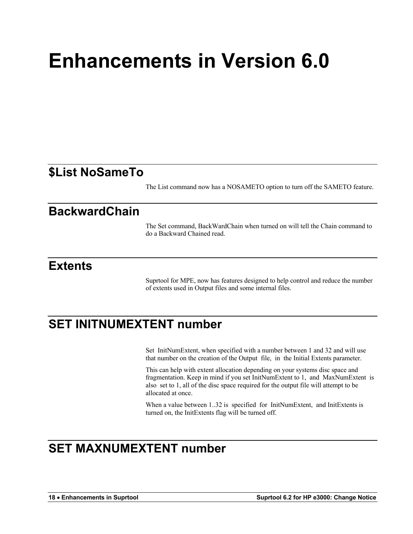# **Enhancements in Version 6.0**

### **\$List NoSameTo**

The List command now has a NOSAMETO option to turn off the SAMETO feature.

#### **BackwardChain**

The Set command, BackWardChain when turned on will tell the Chain command to do a Backward Chained read.

#### **Extents**

Suprtool for MPE, now has features designed to help control and reduce the number of extents used in Output files and some internal files.

## **SET INITNUMEXTENT number**

Set InitNumExtent, when specified with a number between 1 and 32 and will use that number on the creation of the Output file, in the Initial Extents parameter.

This can help with extent allocation depending on your systems disc space and fragmentation. Keep in mind if you set InitNumExtent to 1, and MaxNumExtent is also set to 1, all of the disc space required for the output file will attempt to be allocated at once.

When a value between 1..32 is specified for InitNumExtent, and InitExtents is turned on, the InitExtents flag will be turned off.

# **SET MAXNUMEXTENT number**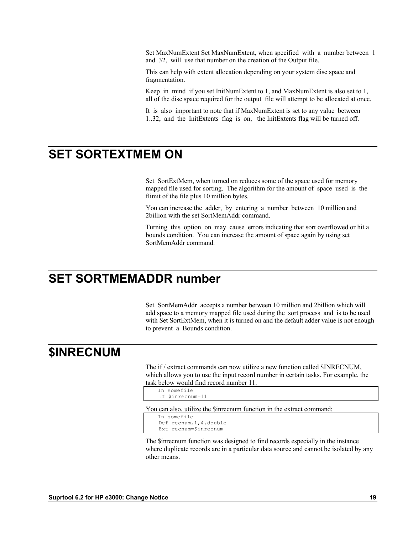Set MaxNumExtent Set MaxNumExtent, when specified with a number between 1 and 32, will use that number on the creation of the Output file.

This can help with extent allocation depending on your system disc space and fragmentation.

Keep in mind if you set InitNumExtent to 1, and MaxNumExtent is also set to 1, all of the disc space required for the output file will attempt to be allocated at once.

It is also important to note that if MaxNumExtent is set to any value between 1..32, and the InitExtents flag is on, the InitExtents flag will be turned off.

## **SET SORTEXTMEM ON**

Set SortExtMem, when turned on reduces some of the space used for memory mapped file used for sorting. The algorithm for the amount of space used is the flimit of the file plus 10 million bytes.

You can increase the adder, by entering a number between 10 million and 2billion with the set SortMemAddr command.

Turning this option on may cause errors indicating that sort overflowed or hit a bounds condition. You can increase the amount of space again by using set SortMemAddr command.

### **SET SORTMEMADDR number**

Set SortMemAddr accepts a number between 10 million and 2billion which will add space to a memory mapped file used during the sort process and is to be used with Set SortExtMem, when it is turned on and the default adder value is not enough to prevent a Bounds condition.

### **\$INRECNUM**

The if / extract commands can now utilize a new function called \$INRECNUM, which allows you to use the input record number in certain tasks. For example, the task below would find record number 11.

```
In somefile
 If $inrecnum=11
```
You can also, utilize the \$inrecnum function in the extract command:

```
In somefile
 Def recnum,1,4,double
 Ext recnum=$inrecnum
```
The \$inrecnum function was designed to find records especially in the instance where duplicate records are in a particular data source and cannot be isolated by any other means.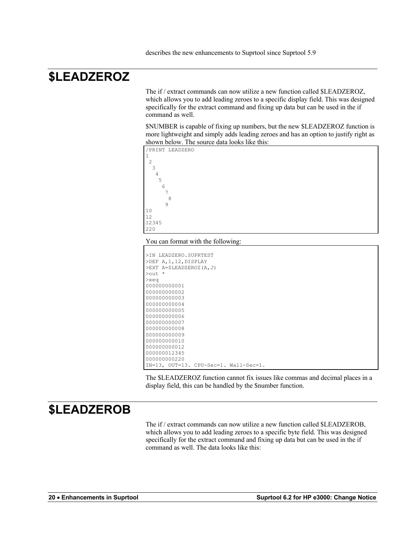# **\$LEADZEROZ**

The if / extract commands can now utilize a new function called \$LEADZEROZ, which allows you to add leading zeroes to a specific display field. This was designed specifically for the extract command and fixing up data but can be used in the if command as well.

\$NUMBER is capable of fixing up numbers, but the new \$LEADZEROZ function is more lightweight and simply adds leading zeroes and has an option to justify right as shown below. The source data looks like this:



#### You can format with the following:

1

```
>IN LEADZERO.SUPRTEST
>DEF A,1,12,DISPLAY
>EXT A=$LEADZEROZ(A,J)
>out *
>xeq
000000000001
000000000002
000000000003
000000000004
000000000005
000000000006
000000000007
000000000008
000000000009
000000000010
00000000012
000000012345
000000000220
IN=13, OUT=13. CPU-Sec=1. Wall-Sec=1.
```
The \$LEADZEROZ function cannot fix issues like commas and decimal places in a display field, this can be handled by the \$number function.

## **\$LEADZEROB**

The if / extract commands can now utilize a new function called \$LEADZEROB, which allows you to add leading zeroes to a specific byte field. This was designed specifically for the extract command and fixing up data but can be used in the if command as well. The data looks like this: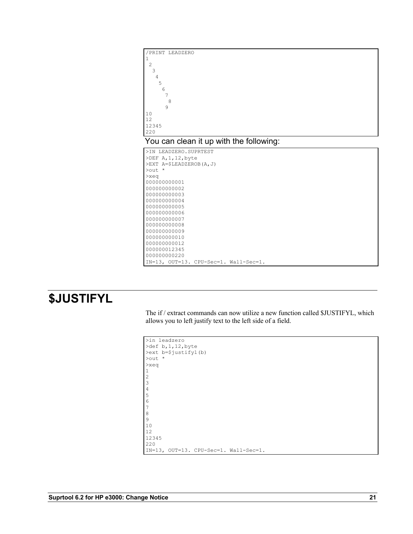

# **\$JUSTIFYL**

The if / extract commands can now utilize a new function called \$JUSTIFYL, which allows you to left justify text to the left side of a field.

| >in leadzero                          |
|---------------------------------------|
| >def $b, 1, 12$ , byte                |
| >ext b=\$justifyl(b)                  |
| $\text{Out}$ *                        |
| $>$ xeq                               |
| 1                                     |
| 2                                     |
| 3                                     |
| 4                                     |
| 5                                     |
| 6                                     |
| 7                                     |
| 8                                     |
| 9                                     |
| 10                                    |
| 12                                    |
| 12345                                 |
| 220                                   |
| IN=13, OUT=13. CPU-Sec=1. Wall-Sec=1. |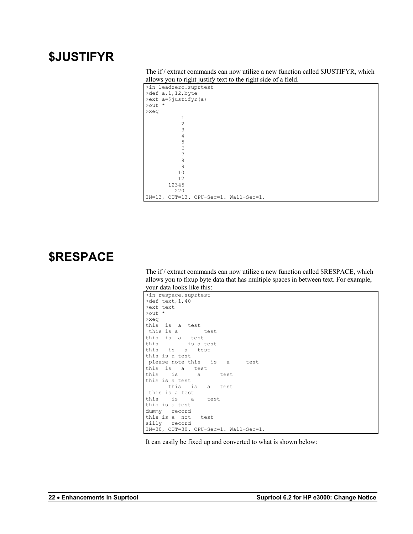## **\$JUSTIFYR**

| The if / extract commands can now utilize a new function called \$JUSTIFYR, which |  |
|-----------------------------------------------------------------------------------|--|
| allows you to right justify text to the right side of a field.                    |  |

```
>in leadzero.suprtest
>def a,1,12,byte
>ext a=$justifyr(a)
>out *
>xeq
         \frac{1}{2} 2
          3
 4
 5
 6
 7
          8
          9
        10
        12
       12345
        220
IN=13, OUT=13. CPU-Sec=1. Wall-Sec=1.
```
### **\$RESPACE**

The if / extract commands can now utilize a new function called \$RESPACE, which allows you to fixup byte data that has multiple spaces in between text. For example, your data looks like this:

```
>in respace.suprtest
>def text, 1,40
>ext text
>out *
>xeq
this is a test
 this is a test
this is a test
this is a test
this is a test
this is a test
please note this is a test
this is a test
this is a test
this is a test
      this is a test
this is a test
     is a test
this is a test
dummy record
this is a not test
silly record
IN=30, OUT=30. CPU-Sec=1. Wall-Sec=1.
```
It can easily be fixed up and converted to what is shown below: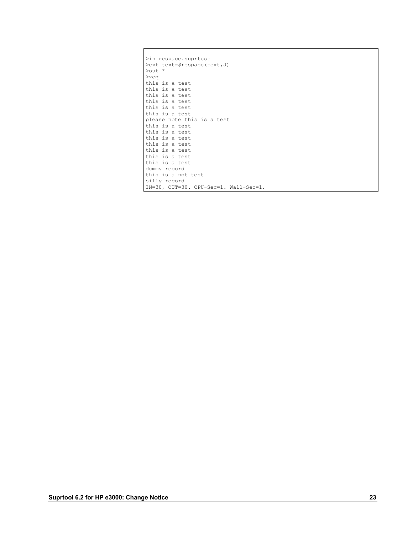| >in respace.suprtest                  |
|---------------------------------------|
| >ext text=\$respace(text, J)          |
| $\text{Out}$ *                        |
| $>$ xeq                               |
| this is a test                        |
| this is a test                        |
| this is a test                        |
| this is a test                        |
| this is a test                        |
| this is a test                        |
| please note this is a test            |
| this is a test                        |
| this is a test                        |
| this is a test                        |
| this is a test                        |
| this is a test                        |
| this is a test                        |
| this is a test                        |
| dummy record                          |
| this is a not test                    |
| silly record                          |
| IN=30, OUT=30. CPU-Sec=1. Wall-Sec=1. |